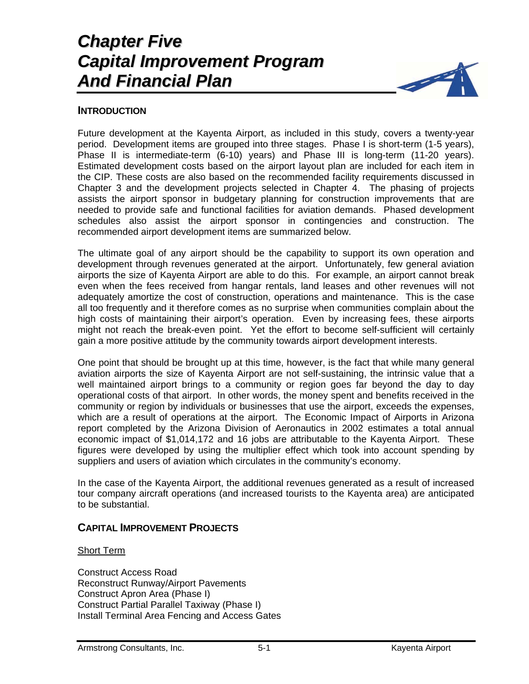# *Chapter Five Capital Improvement Program And Financial Plan*



## **INTRODUCTION**

Future development at the Kayenta Airport, as included in this study, covers a twenty-year period. Development items are grouped into three stages. Phase I is short-term (1-5 years), Phase II is intermediate-term (6-10) years) and Phase III is long-term (11-20 years). Estimated development costs based on the airport layout plan are included for each item in the CIP. These costs are also based on the recommended facility requirements discussed in Chapter 3 and the development projects selected in Chapter 4. The phasing of projects assists the airport sponsor in budgetary planning for construction improvements that are needed to provide safe and functional facilities for aviation demands. Phased development schedules also assist the airport sponsor in contingencies and construction. The recommended airport development items are summarized below.

The ultimate goal of any airport should be the capability to support its own operation and development through revenues generated at the airport. Unfortunately, few general aviation airports the size of Kayenta Airport are able to do this. For example, an airport cannot break even when the fees received from hangar rentals, land leases and other revenues will not adequately amortize the cost of construction, operations and maintenance. This is the case all too frequently and it therefore comes as no surprise when communities complain about the high costs of maintaining their airport's operation. Even by increasing fees, these airports might not reach the break-even point. Yet the effort to become self-sufficient will certainly gain a more positive attitude by the community towards airport development interests.

One point that should be brought up at this time, however, is the fact that while many general aviation airports the size of Kayenta Airport are not self-sustaining, the intrinsic value that a well maintained airport brings to a community or region goes far beyond the day to day operational costs of that airport. In other words, the money spent and benefits received in the community or region by individuals or businesses that use the airport, exceeds the expenses, which are a result of operations at the airport. The Economic Impact of Airports in Arizona report completed by the Arizona Division of Aeronautics in 2002 estimates a total annual economic impact of \$1,014,172 and 16 jobs are attributable to the Kayenta Airport. These figures were developed by using the multiplier effect which took into account spending by suppliers and users of aviation which circulates in the community's economy.

In the case of the Kayenta Airport, the additional revenues generated as a result of increased tour company aircraft operations (and increased tourists to the Kayenta area) are anticipated to be substantial.

## **CAPITAL IMPROVEMENT PROJECTS**

#### Short Term

Construct Access Road Reconstruct Runway/Airport Pavements Construct Apron Area (Phase I) Construct Partial Parallel Taxiway (Phase I) Install Terminal Area Fencing and Access Gates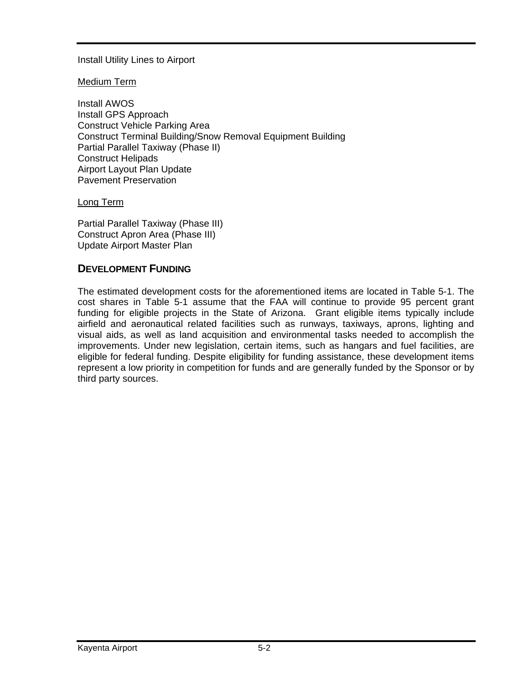## Install Utility Lines to Airport

#### Medium Term

Install AWOS Install GPS Approach Construct Vehicle Parking Area Construct Terminal Building/Snow Removal Equipment Building Partial Parallel Taxiway (Phase II) Construct Helipads Airport Layout Plan Update Pavement Preservation

Long Term

Partial Parallel Taxiway (Phase III) Construct Apron Area (Phase III) Update Airport Master Plan

## **DEVELOPMENT FUNDING**

The estimated development costs for the aforementioned items are located in Table 5-1. The cost shares in Table 5-1 assume that the FAA will continue to provide 95 percent grant funding for eligible projects in the State of Arizona. Grant eligible items typically include airfield and aeronautical related facilities such as runways, taxiways, aprons, lighting and visual aids, as well as land acquisition and environmental tasks needed to accomplish the improvements. Under new legislation, certain items, such as hangars and fuel facilities, are eligible for federal funding. Despite eligibility for funding assistance, these development items represent a low priority in competition for funds and are generally funded by the Sponsor or by third party sources.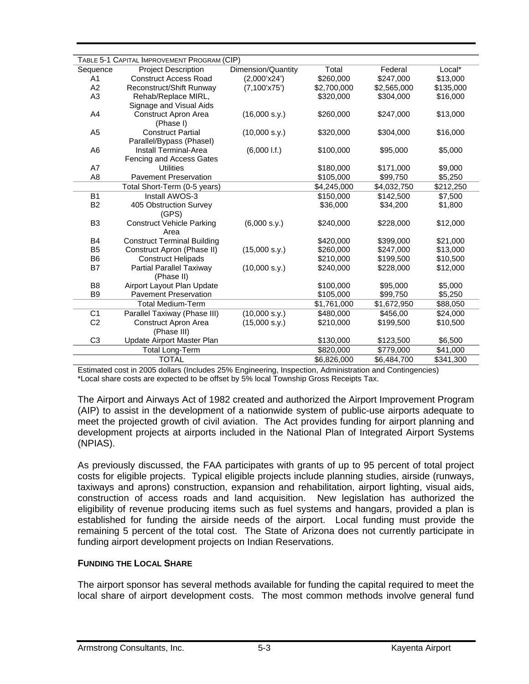|                                                                                              | TABLE 5-1 CAPITAL IMPROVEMENT PROGRAM (CIP) |                    |             |             |           |  |
|----------------------------------------------------------------------------------------------|---------------------------------------------|--------------------|-------------|-------------|-----------|--|
| Sequence                                                                                     | <b>Project Description</b>                  | Dimension/Quantity | Total       | Federal     | Local*    |  |
| A <sub>1</sub>                                                                               | <b>Construct Access Road</b>                | (2,000'x24')       | \$260,000   | \$247,000   | \$13,000  |  |
| A2                                                                                           | Reconstruct/Shift Runway                    | (7,100'x75')       | \$2,700,000 | \$2,565,000 | \$135,000 |  |
| A <sub>3</sub>                                                                               | Rehab/Replace MIRL,                         |                    | \$320,000   | \$304,000   | \$16,000  |  |
|                                                                                              | Signage and Visual Aids                     |                    |             |             |           |  |
| A4                                                                                           | <b>Construct Apron Area</b>                 | (16,000 s.y.)      | \$260,000   | \$247,000   | \$13,000  |  |
|                                                                                              | (Phase I)                                   |                    |             |             |           |  |
| A <sub>5</sub>                                                                               | <b>Construct Partial</b>                    | (10,000 s.y.)      | \$320,000   | \$304,000   | \$16,000  |  |
|                                                                                              | Parallel/Bypass (Phasel)                    |                    |             |             |           |  |
| A <sub>6</sub>                                                                               | Install Terminal-Area                       | (6,0001.f.)        | \$100,000   | \$95,000    | \$5,000   |  |
|                                                                                              | Fencing and Access Gates                    |                    |             |             |           |  |
| A7                                                                                           | <b>Utilities</b>                            |                    | \$180,000   | \$171,000   | \$9,000   |  |
| A <sub>8</sub>                                                                               | <b>Pavement Preservation</b>                |                    | \$105,000   | \$99,750    | \$5,250   |  |
|                                                                                              | Total Short-Term (0-5 years)                |                    | \$4,245,000 | \$4,032,750 | \$212,250 |  |
| <b>B1</b>                                                                                    | Install AWOS-3                              |                    | \$150,000   | \$142,500   | \$7,500   |  |
| B <sub>2</sub>                                                                               | 405 Obstruction Survey                      |                    | \$36,000    | \$34,200    | \$1,800   |  |
|                                                                                              | (GPS)                                       |                    |             |             |           |  |
| B <sub>3</sub>                                                                               | <b>Construct Vehicle Parking</b>            | (6,000 s.y.)       | \$240,000   | \$228,000   | \$12,000  |  |
|                                                                                              | Area                                        |                    |             |             |           |  |
| B4                                                                                           | <b>Construct Terminal Building</b>          |                    | \$420,000   | \$399,000   | \$21,000  |  |
| B <sub>5</sub>                                                                               | Construct Apron (Phase II)                  | (15,000 s.y.)      | \$260,000   | \$247,000   | \$13,000  |  |
| B <sub>6</sub>                                                                               | <b>Construct Helipads</b>                   |                    | \$210,000   | \$199,500   | \$10,500  |  |
| B7                                                                                           | Partial Parallel Taxiway                    | (10,000 s.y.)      | \$240,000   | \$228,000   | \$12,000  |  |
|                                                                                              | (Phase II)                                  |                    |             |             |           |  |
| B <sub>8</sub>                                                                               | Airport Layout Plan Update                  |                    | \$100,000   | \$95,000    | \$5,000   |  |
| <b>B</b> 9                                                                                   | <b>Pavement Preservation</b>                |                    | \$105,000   | \$99,750    | \$5,250   |  |
|                                                                                              | <b>Total Medium-Term</b>                    |                    | \$1,761,000 | \$1,672,950 | \$88,050  |  |
| C <sub>1</sub>                                                                               | Parallel Taxiway (Phase III)                | (10,000 s.y.)      | \$480,000   | \$456,00    | \$24,000  |  |
| C <sub>2</sub>                                                                               | Construct Apron Area                        | (15,000 s.y.)      | \$210,000   | \$199,500   | \$10,500  |  |
|                                                                                              | (Phase III)                                 |                    |             |             |           |  |
| C <sub>3</sub>                                                                               | Update Airport Master Plan                  |                    | \$130,000   | \$123,500   | \$6,500   |  |
|                                                                                              | <b>Total Long-Term</b>                      |                    | \$820,000   | \$779,000   | \$41,000  |  |
| <b>TOTAL</b><br>\$6,826,000<br>\$6,484,700<br>\$341,300                                      |                                             |                    |             |             |           |  |
| $\lambda$ 0005 dellers (bestudes 050/ $\Gamma$ e<br>$A \cap B$<br>والمصدع والمتحاوي والمرابة |                                             |                    |             |             |           |  |

Estimated cost in 2005 dollars (Includes 25% Engineering, Inspection, Administration and Contingencies) \*Local share costs are expected to be offset by 5% local Township Gross Receipts Tax.

The Airport and Airways Act of 1982 created and authorized the Airport Improvement Program (AIP) to assist in the development of a nationwide system of public-use airports adequate to meet the projected growth of civil aviation. The Act provides funding for airport planning and development projects at airports included in the National Plan of Integrated Airport Systems (NPIAS).

As previously discussed, the FAA participates with grants of up to 95 percent of total project costs for eligible projects. Typical eligible projects include planning studies, airside (runways, taxiways and aprons) construction, expansion and rehabilitation, airport lighting, visual aids, construction of access roads and land acquisition. New legislation has authorized the eligibility of revenue producing items such as fuel systems and hangars, provided a plan is established for funding the airside needs of the airport. Local funding must provide the remaining 5 percent of the total cost. The State of Arizona does not currently participate in funding airport development projects on Indian Reservations.

#### **FUNDING THE LOCAL SHARE**

The airport sponsor has several methods available for funding the capital required to meet the local share of airport development costs. The most common methods involve general fund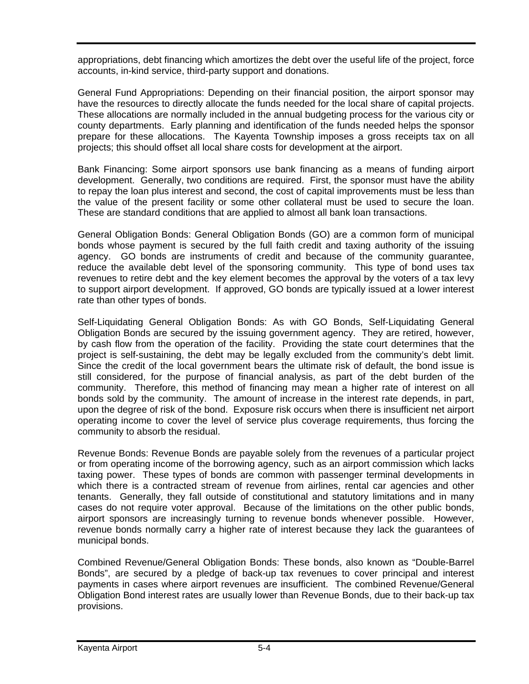appropriations, debt financing which amortizes the debt over the useful life of the project, force accounts, in-kind service, third-party support and donations.

General Fund Appropriations: Depending on their financial position, the airport sponsor may have the resources to directly allocate the funds needed for the local share of capital projects. These allocations are normally included in the annual budgeting process for the various city or county departments. Early planning and identification of the funds needed helps the sponsor prepare for these allocations. The Kayenta Township imposes a gross receipts tax on all projects; this should offset all local share costs for development at the airport.

Bank Financing: Some airport sponsors use bank financing as a means of funding airport development. Generally, two conditions are required. First, the sponsor must have the ability to repay the loan plus interest and second, the cost of capital improvements must be less than the value of the present facility or some other collateral must be used to secure the loan. These are standard conditions that are applied to almost all bank loan transactions.

General Obligation Bonds: General Obligation Bonds (GO) are a common form of municipal bonds whose payment is secured by the full faith credit and taxing authority of the issuing agency. GO bonds are instruments of credit and because of the community guarantee, reduce the available debt level of the sponsoring community. This type of bond uses tax revenues to retire debt and the key element becomes the approval by the voters of a tax levy to support airport development. If approved, GO bonds are typically issued at a lower interest rate than other types of bonds.

Self-Liquidating General Obligation Bonds: As with GO Bonds, Self-Liquidating General Obligation Bonds are secured by the issuing government agency. They are retired, however, by cash flow from the operation of the facility. Providing the state court determines that the project is self-sustaining, the debt may be legally excluded from the community's debt limit. Since the credit of the local government bears the ultimate risk of default, the bond issue is still considered, for the purpose of financial analysis, as part of the debt burden of the community. Therefore, this method of financing may mean a higher rate of interest on all bonds sold by the community. The amount of increase in the interest rate depends, in part, upon the degree of risk of the bond. Exposure risk occurs when there is insufficient net airport operating income to cover the level of service plus coverage requirements, thus forcing the community to absorb the residual.

Revenue Bonds: Revenue Bonds are payable solely from the revenues of a particular project or from operating income of the borrowing agency, such as an airport commission which lacks taxing power. These types of bonds are common with passenger terminal developments in which there is a contracted stream of revenue from airlines, rental car agencies and other tenants. Generally, they fall outside of constitutional and statutory limitations and in many cases do not require voter approval. Because of the limitations on the other public bonds, airport sponsors are increasingly turning to revenue bonds whenever possible. However, revenue bonds normally carry a higher rate of interest because they lack the guarantees of municipal bonds.

Combined Revenue/General Obligation Bonds: These bonds, also known as "Double-Barrel Bonds", are secured by a pledge of back-up tax revenues to cover principal and interest payments in cases where airport revenues are insufficient. The combined Revenue/General Obligation Bond interest rates are usually lower than Revenue Bonds, due to their back-up tax provisions.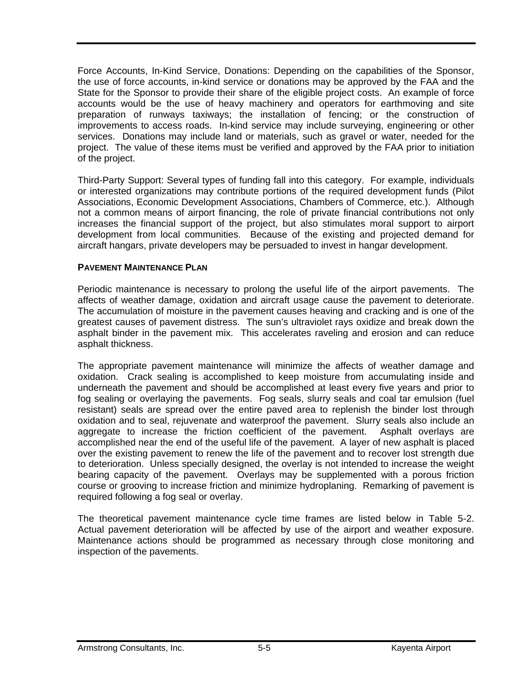Force Accounts, In-Kind Service, Donations: Depending on the capabilities of the Sponsor, the use of force accounts, in-kind service or donations may be approved by the FAA and the State for the Sponsor to provide their share of the eligible project costs. An example of force accounts would be the use of heavy machinery and operators for earthmoving and site preparation of runways taxiways; the installation of fencing; or the construction of improvements to access roads. In-kind service may include surveying, engineering or other services. Donations may include land or materials, such as gravel or water, needed for the project. The value of these items must be verified and approved by the FAA prior to initiation of the project.

Third-Party Support: Several types of funding fall into this category. For example, individuals or interested organizations may contribute portions of the required development funds (Pilot Associations, Economic Development Associations, Chambers of Commerce, etc.). Although not a common means of airport financing, the role of private financial contributions not only increases the financial support of the project, but also stimulates moral support to airport development from local communities. Because of the existing and projected demand for aircraft hangars, private developers may be persuaded to invest in hangar development.

#### **PAVEMENT MAINTENANCE PLAN**

Periodic maintenance is necessary to prolong the useful life of the airport pavements. The affects of weather damage, oxidation and aircraft usage cause the pavement to deteriorate. The accumulation of moisture in the pavement causes heaving and cracking and is one of the greatest causes of pavement distress. The sun's ultraviolet rays oxidize and break down the asphalt binder in the pavement mix. This accelerates raveling and erosion and can reduce asphalt thickness.

The appropriate pavement maintenance will minimize the affects of weather damage and oxidation. Crack sealing is accomplished to keep moisture from accumulating inside and underneath the pavement and should be accomplished at least every five years and prior to fog sealing or overlaying the pavements. Fog seals, slurry seals and coal tar emulsion (fuel resistant) seals are spread over the entire paved area to replenish the binder lost through oxidation and to seal, rejuvenate and waterproof the pavement. Slurry seals also include an aggregate to increase the friction coefficient of the pavement. Asphalt overlays are accomplished near the end of the useful life of the pavement. A layer of new asphalt is placed over the existing pavement to renew the life of the pavement and to recover lost strength due to deterioration. Unless specially designed, the overlay is not intended to increase the weight bearing capacity of the pavement. Overlays may be supplemented with a porous friction course or grooving to increase friction and minimize hydroplaning. Remarking of pavement is required following a fog seal or overlay.

The theoretical pavement maintenance cycle time frames are listed below in Table 5-2. Actual pavement deterioration will be affected by use of the airport and weather exposure. Maintenance actions should be programmed as necessary through close monitoring and inspection of the pavements.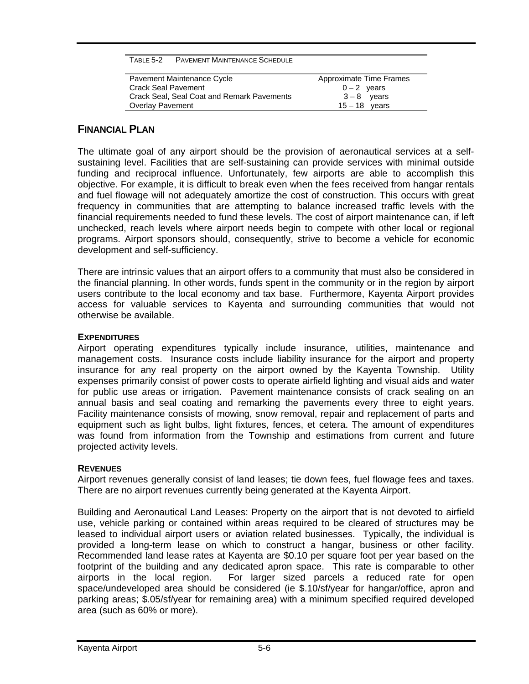| TABLE 5-2 | <b>PAVEMENT MAINTENANCE SCHEDULE</b> |  |
|-----------|--------------------------------------|--|
|           |                                      |  |

| Pavement Maintenance Cycle                 | Approximate Time Frames |
|--------------------------------------------|-------------------------|
| <b>Crack Seal Pavement</b>                 | $0 - 2$ years           |
| Crack Seal, Seal Coat and Remark Pavements | $3-8$ vears             |
| <b>Overlay Pavement</b>                    | $15 - 18$ years         |

## **FINANCIAL PLAN**

The ultimate goal of any airport should be the provision of aeronautical services at a selfsustaining level. Facilities that are self-sustaining can provide services with minimal outside funding and reciprocal influence. Unfortunately, few airports are able to accomplish this objective. For example, it is difficult to break even when the fees received from hangar rentals and fuel flowage will not adequately amortize the cost of construction. This occurs with great frequency in communities that are attempting to balance increased traffic levels with the financial requirements needed to fund these levels. The cost of airport maintenance can, if left unchecked, reach levels where airport needs begin to compete with other local or regional programs. Airport sponsors should, consequently, strive to become a vehicle for economic development and self-sufficiency.

There are intrinsic values that an airport offers to a community that must also be considered in the financial planning. In other words, funds spent in the community or in the region by airport users contribute to the local economy and tax base. Furthermore, Kayenta Airport provides access for valuable services to Kayenta and surrounding communities that would not otherwise be available.

## **EXPENDITURES**

Airport operating expenditures typically include insurance, utilities, maintenance and management costs. Insurance costs include liability insurance for the airport and property insurance for any real property on the airport owned by the Kayenta Township. Utility expenses primarily consist of power costs to operate airfield lighting and visual aids and water for public use areas or irrigation. Pavement maintenance consists of crack sealing on an annual basis and seal coating and remarking the pavements every three to eight years. Facility maintenance consists of mowing, snow removal, repair and replacement of parts and equipment such as light bulbs, light fixtures, fences, et cetera. The amount of expenditures was found from information from the Township and estimations from current and future projected activity levels.

#### **REVENUES**

Airport revenues generally consist of land leases; tie down fees, fuel flowage fees and taxes. There are no airport revenues currently being generated at the Kayenta Airport.

Building and Aeronautical Land Leases: Property on the airport that is not devoted to airfield use, vehicle parking or contained within areas required to be cleared of structures may be leased to individual airport users or aviation related businesses. Typically, the individual is provided a long-term lease on which to construct a hangar, business or other facility. Recommended land lease rates at Kayenta are \$0.10 per square foot per year based on the footprint of the building and any dedicated apron space. This rate is comparable to other airports in the local region. For larger sized parcels a reduced rate for open space/undeveloped area should be considered (ie \$.10/sf/year for hangar/office, apron and parking areas; \$.05/sf/year for remaining area) with a minimum specified required developed area (such as 60% or more).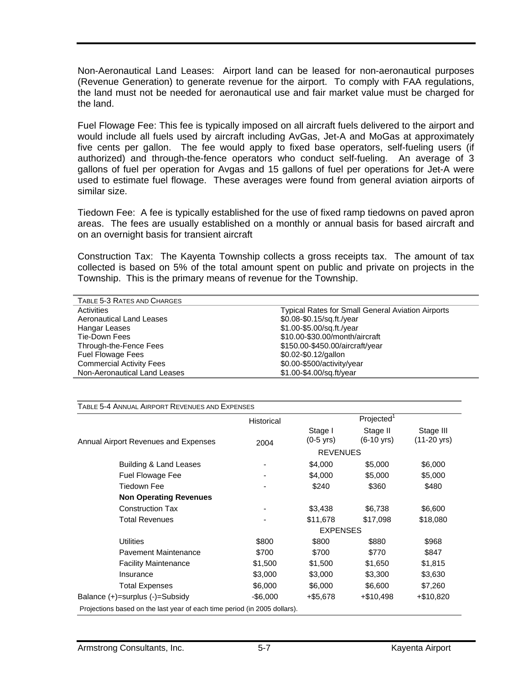Non-Aeronautical Land Leases: Airport land can be leased for non-aeronautical purposes (Revenue Generation) to generate revenue for the airport. To comply with FAA regulations, the land must not be needed for aeronautical use and fair market value must be charged for the land.

Fuel Flowage Fee: This fee is typically imposed on all aircraft fuels delivered to the airport and would include all fuels used by aircraft including AvGas, Jet-A and MoGas at approximately five cents per gallon. The fee would apply to fixed base operators, self-fueling users (if authorized) and through-the-fence operators who conduct self-fueling. An average of 3 gallons of fuel per operation for Avgas and 15 gallons of fuel per operations for Jet-A were used to estimate fuel flowage. These averages were found from general aviation airports of similar size.

Tiedown Fee: A fee is typically established for the use of fixed ramp tiedowns on paved apron areas. The fees are usually established on a monthly or annual basis for based aircraft and on an overnight basis for transient aircraft

Construction Tax: The Kayenta Township collects a gross receipts tax. The amount of tax collected is based on 5% of the total amount spent on public and private on projects in the Township. This is the primary means of revenue for the Township.

| TABLE 5-3 RATES AND CHARGES     |                                                          |  |  |  |
|---------------------------------|----------------------------------------------------------|--|--|--|
| Activities                      | <b>Typical Rates for Small General Aviation Airports</b> |  |  |  |
| <b>Aeronautical Land Leases</b> | \$0.08-\$0.15/sq.ft./year                                |  |  |  |
| Hangar Leases                   | \$1.00-\$5.00/sq.ft./year                                |  |  |  |
| Tie-Down Fees                   | \$10.00-\$30.00/month/aircraft                           |  |  |  |
| Through-the-Fence Fees          | \$150.00-\$450.00/aircraft/year                          |  |  |  |
| <b>Fuel Flowage Fees</b>        | \$0.02-\$0.12/gallon                                     |  |  |  |
| <b>Commercial Activity Fees</b> | \$0.00-\$500/activity/year                               |  |  |  |
| Non-Aeronautical Land Leases    | \$1.00-\$4.00/sq.ft/year                                 |  |  |  |

TABLE 5-4 ANNUAL AIRPORT REVENUES AND EXPENSES

|                                                                           | Historical |                                | Projected <sup>1</sup>           |                                    |  |  |
|---------------------------------------------------------------------------|------------|--------------------------------|----------------------------------|------------------------------------|--|--|
| Annual Airport Revenues and Expenses                                      | 2004       | Stage I<br>$(0-5 \text{ yrs})$ | Stage II<br>$(6-10 \text{ yrs})$ | Stage III<br>$(11-20 \text{ yrs})$ |  |  |
|                                                                           |            |                                |                                  |                                    |  |  |
| Building & Land Leases                                                    |            | \$4,000                        | \$5,000                          | \$6,000                            |  |  |
| Fuel Flowage Fee                                                          |            | \$4,000                        | \$5,000                          | \$5,000                            |  |  |
| Tiedown Fee                                                               |            | \$240                          | \$360                            | \$480                              |  |  |
| <b>Non Operating Revenues</b>                                             |            |                                |                                  |                                    |  |  |
| Construction Tax                                                          |            | \$3,438                        | \$6,738                          | \$6,600                            |  |  |
| <b>Total Revenues</b>                                                     |            | \$11,678                       | \$17,098                         | \$18,080                           |  |  |
|                                                                           |            |                                |                                  | <b>EXPENSES</b>                    |  |  |
| <b>Utilities</b>                                                          | \$800      | \$800                          | \$880                            | \$968                              |  |  |
| Pavement Maintenance                                                      | \$700      | \$700                          | \$770                            | \$847                              |  |  |
| <b>Facility Maintenance</b>                                               | \$1,500    | \$1,500                        | \$1,650                          | \$1,815                            |  |  |
| Insurance                                                                 | \$3,000    | \$3,000                        | \$3,300                          | \$3,630                            |  |  |
| <b>Total Expenses</b>                                                     | \$6,000    | \$6,000                        | \$6,600                          | \$7,260                            |  |  |
| Balance $(+)$ =surplus $(-)$ =Subsidy                                     | -\$6,000   | +\$5,678                       | $+\$10,498$                      | +\$10,820                          |  |  |
| Projections based on the last year of each time period (in 2005 dollars). |            |                                |                                  |                                    |  |  |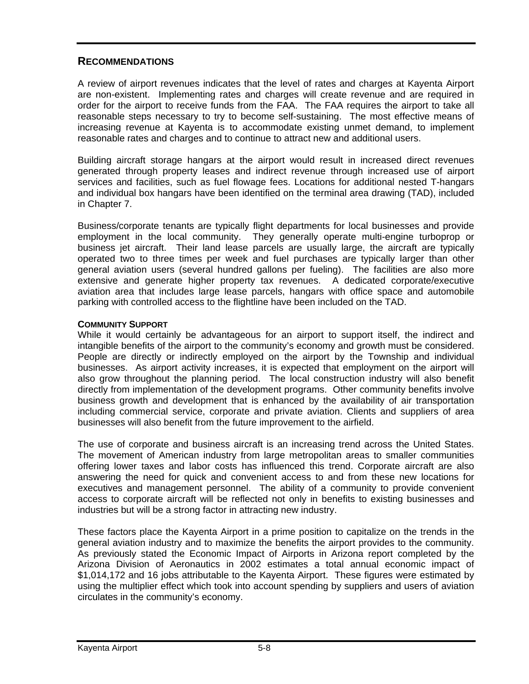## **RECOMMENDATIONS**

A review of airport revenues indicates that the level of rates and charges at Kayenta Airport are non-existent. Implementing rates and charges will create revenue and are required in order for the airport to receive funds from the FAA. The FAA requires the airport to take all reasonable steps necessary to try to become self-sustaining. The most effective means of increasing revenue at Kayenta is to accommodate existing unmet demand, to implement reasonable rates and charges and to continue to attract new and additional users.

Building aircraft storage hangars at the airport would result in increased direct revenues generated through property leases and indirect revenue through increased use of airport services and facilities, such as fuel flowage fees. Locations for additional nested T-hangars and individual box hangars have been identified on the terminal area drawing (TAD), included in Chapter 7.

Business/corporate tenants are typically flight departments for local businesses and provide employment in the local community. They generally operate multi-engine turboprop or business jet aircraft. Their land lease parcels are usually large, the aircraft are typically operated two to three times per week and fuel purchases are typically larger than other general aviation users (several hundred gallons per fueling). The facilities are also more extensive and generate higher property tax revenues. A dedicated corporate/executive aviation area that includes large lease parcels, hangars with office space and automobile parking with controlled access to the flightline have been included on the TAD.

## **COMMUNITY SUPPORT**

While it would certainly be advantageous for an airport to support itself, the indirect and intangible benefits of the airport to the community's economy and growth must be considered. People are directly or indirectly employed on the airport by the Township and individual businesses. As airport activity increases, it is expected that employment on the airport will also grow throughout the planning period. The local construction industry will also benefit directly from implementation of the development programs. Other community benefits involve business growth and development that is enhanced by the availability of air transportation including commercial service, corporate and private aviation. Clients and suppliers of area businesses will also benefit from the future improvement to the airfield.

The use of corporate and business aircraft is an increasing trend across the United States. The movement of American industry from large metropolitan areas to smaller communities offering lower taxes and labor costs has influenced this trend. Corporate aircraft are also answering the need for quick and convenient access to and from these new locations for executives and management personnel. The ability of a community to provide convenient access to corporate aircraft will be reflected not only in benefits to existing businesses and industries but will be a strong factor in attracting new industry.

These factors place the Kayenta Airport in a prime position to capitalize on the trends in the general aviation industry and to maximize the benefits the airport provides to the community. As previously stated the Economic Impact of Airports in Arizona report completed by the Arizona Division of Aeronautics in 2002 estimates a total annual economic impact of \$1,014,172 and 16 jobs attributable to the Kayenta Airport. These figures were estimated by using the multiplier effect which took into account spending by suppliers and users of aviation circulates in the community's economy.